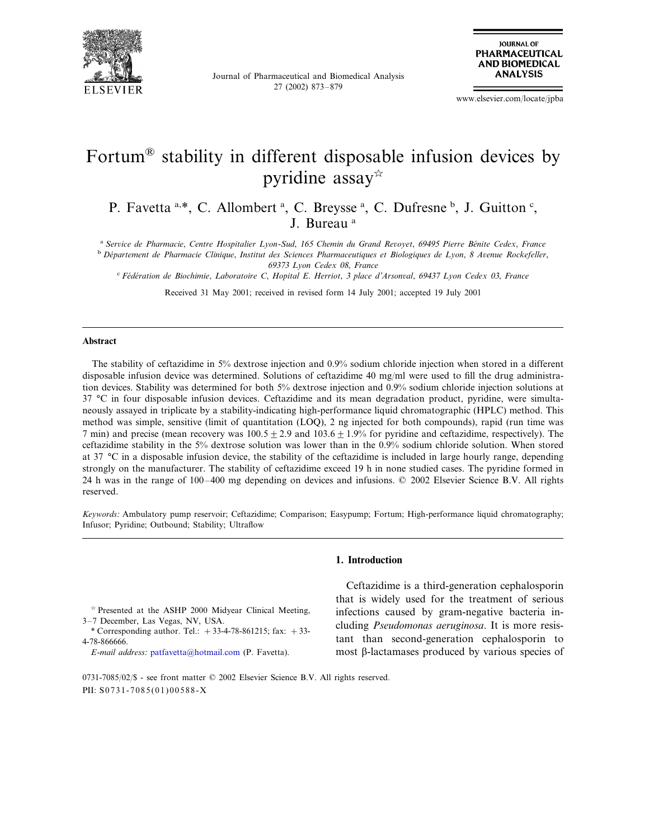

Journal of Pharmaceutical and Biomedical Analysis 27 (2002) 873–879



www.elsevier.com/locate/jpba

# Fortum® stability in different disposable infusion devices by pyridine assay $\mathbb{R}$

P. Favetta a,\*, C. Allombert <sup>a</sup>, C. Breysse <sup>a</sup>, C. Dufresne <sup>b</sup>, J. Guitton <sup>c</sup>, J. Bureau <sup>a</sup>

a Service de Pharmacie, Centre Hospitalier Lyon-Sud, 165 Chemin du Grand Revoyet, 69495 Pierre Bénite Cedex, France b Département de Pharmacie Clinique, Institut des Sciences Pharmaceutiques et Biologiques de Lyon, 8 Avenue Rockefeller, 69373 *Lyon Cedex* 08, *France*

<sup>c</sup> *Fe´de´ration de Biochimie*, *Laboratoire C*, *Hopital E*. *Herriot*, <sup>3</sup> *place d*'*Arson*!*al*, <sup>69437</sup> *Lyon Cedex* <sup>03</sup>, *France*

Received 31 May 2001; received in revised form 14 July 2001; accepted 19 July 2001

#### **Abstract**

The stability of ceftazidime in 5% dextrose injection and 0.9% sodium chloride injection when stored in a different disposable infusion device was determined. Solutions of ceftazidime 40 mg/ml were used to fill the drug administration devices. Stability was determined for both 5% dextrose injection and 0.9% sodium chloride injection solutions at 37 °C in four disposable infusion devices. Ceftazidime and its mean degradation product, pyridine, were simultaneously assayed in triplicate by a stability-indicating high-performance liquid chromatographic (HPLC) method. This method was simple, sensitive (limit of quantitation (LOQ), 2 ng injected for both compounds), rapid (run time was 7 min) and precise (mean recovery was  $100.5 \pm 2.9$  and  $103.6 \pm 1.9$ % for pyridine and ceftazidime, respectively). The ceftazidime stability in the 5% dextrose solution was lower than in the 0.9% sodium chloride solution. When stored at 37  $^{\circ}$ C in a disposable infusion device, the stability of the ceftazidime is included in large hourly range, depending strongly on the manufacturer. The stability of ceftazidime exceed 19 h in none studied cases. The pyridine formed in 24 h was in the range of 100–400 mg depending on devices and infusions. © 2002 Elsevier Science B.V. All rights reserved.

*Keywords*: Ambulatory pump reservoir; Ceftazidime; Comparison; Easypump; Fortum; High-performance liquid chromatography; Infusor; Pyridine; Outbound; Stability; Ultraflow

#### **1. Introduction**

 $*$  Presented at the ASHP 2000 Midyear Clinical Meeting, 3–7 December, Las Vegas, NV, USA.

\* Corresponding author. Tel.:  $+33-4-78-861215$ ; fax:  $+33-$ 4-78-866666.

*E*-*mail address*: [patfavetta@hotmail.com](mailto:patfavetta@hotmail.com) (P. Favetta).

Ceftazidime is a third-generation cephalosporin that is widely used for the treatment of serious infections caused by gram-negative bacteria including *Pseudomonas aeruginosa*. It is more resistant than second-generation cephalosporin to most  $\beta$ -lactamases produced by various species of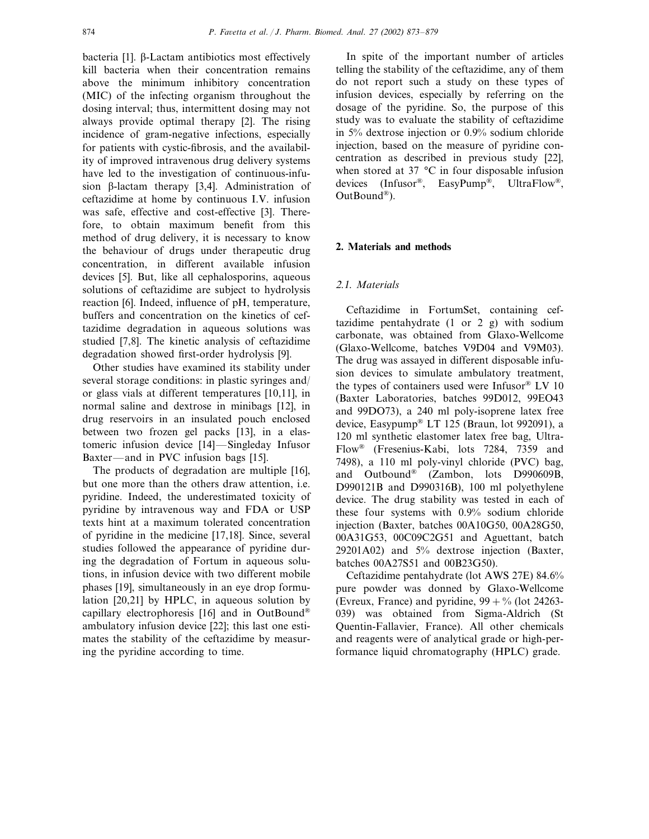bacteria  $[1]$ .  $\beta$ -Lactam antibiotics most effectively kill bacteria when their concentration remains above the minimum inhibitory concentration (MIC) of the infecting organism throughout the dosing interval; thus, intermittent dosing may not always provide optimal therapy [2]. The rising incidence of gram-negative infections, especially for patients with cystic-fibrosis, and the availability of improved intravenous drug delivery systems have led to the investigation of continuous-infusion  $\beta$ -lactam therapy [3,4]. Administration of ceftazidime at home by continuous I.V. infusion was safe, effective and cost-effective [3]. Therefore, to obtain maximum benefit from this method of drug delivery, it is necessary to know the behaviour of drugs under therapeutic drug concentration, in different available infusion devices [5]. But, like all cephalosporins, aqueous solutions of ceftazidime are subject to hydrolysis reaction [6]. Indeed, influence of pH, temperature, buffers and concentration on the kinetics of ceftazidime degradation in aqueous solutions was studied [7,8]. The kinetic analysis of ceftazidime degradation showed first-order hydrolysis [9].

Other studies have examined its stability under several storage conditions: in plastic syringes and/ or glass vials at different temperatures [10,11], in normal saline and dextrose in minibags [12], in drug reservoirs in an insulated pouch enclosed between two frozen gel packs [13], in a elastomeric infusion device [14]—Singleday Infusor Baxter—and in PVC infusion bags [15].

The products of degradation are multiple [16], but one more than the others draw attention, i.e. pyridine. Indeed, the underestimated toxicity of pyridine by intravenous way and FDA or USP texts hint at a maximum tolerated concentration of pyridine in the medicine [17,18]. Since, several studies followed the appearance of pyridine during the degradation of Fortum in aqueous solutions, in infusion device with two different mobile phases [19], simultaneously in an eye drop formulation [20,21] by HPLC, in aqueous solution by capillary electrophoresis [16] and in OutBound® ambulatory infusion device [22]; this last one estimates the stability of the ceftazidime by measuring the pyridine according to time.

In spite of the important number of articles telling the stability of the ceftazidime, any of them do not report such a study on these types of infusion devices, especially by referring on the dosage of the pyridine. So, the purpose of this study was to evaluate the stability of ceftazidime in 5% dextrose injection or 0.9% sodium chloride injection, based on the measure of pyridine concentration as described in previous study [22], when stored at 37 °C in four disposable infusion devices (Infusor®, EasyPump®, UltraFlow®, OutBound®).

# **2. Materials and methods**

# <sup>2</sup>.1. *Materials*

Ceftazidime in FortumSet, containing ceftazidime pentahydrate (1 or 2 g) with sodium carbonate, was obtained from Glaxo-Wellcome (Glaxo-Wellcome, batches V9D04 and V9M03). The drug was assayed in different disposable infusion devices to simulate ambulatory treatment, the types of containers used were Infusor® LV 10 (Baxter Laboratories, batches 99D012, 99EO43 and 99DO73), a 240 ml poly-isoprene latex free device, Easypump® LT 125 (Braun, lot 992091), a 120 ml synthetic elastomer latex free bag, Ultra-Flow® (Fresenius-Kabi, lots 7284, 7359 and 7498), a 110 ml poly-vinyl chloride (PVC) bag, and Outbound® (Zambon, lots D990609B, D990121B and D990316B), 100 ml polyethylene device. The drug stability was tested in each of these four systems with 0.9% sodium chloride injection (Baxter, batches 00A10G50, 00A28G50, 00A31G53, 00C09C2G51 and Aguettant, batch 29201A02) and 5% dextrose injection (Baxter, batches 00A27S51 and 00B23G50).

Ceftazidime pentahydrate (lot AWS 27E) 84.6% pure powder was donned by Glaxo-Wellcome (Evreux, France) and pyridine,  $99 + \%$  (lot 24263-039) was obtained from Sigma-Aldrich (St Quentin-Fallavier, France). All other chemicals and reagents were of analytical grade or high-performance liquid chromatography (HPLC) grade.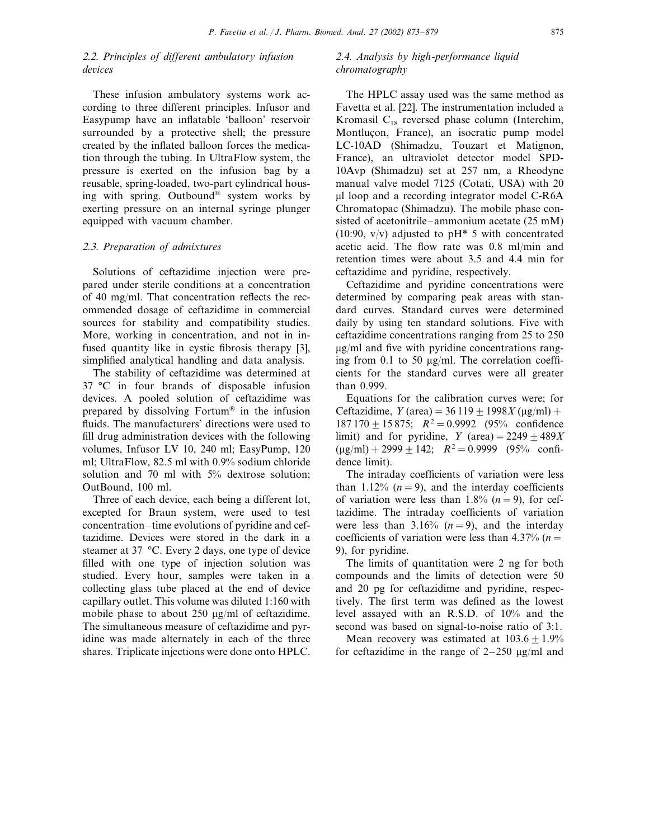# <sup>2</sup>.2. *Principles of different ambulatory infusion de*!*ices*

These infusion ambulatory systems work according to three different principles. Infusor and Easypump have an inflatable 'balloon' reservoir surrounded by a protective shell; the pressure created by the inflated balloon forces the medication through the tubing. In UltraFlow system, the pressure is exerted on the infusion bag by a reusable, spring-loaded, two-part cylindrical housing with spring. Outbound® system works by exerting pressure on an internal syringe plunger equipped with vacuum chamber.

# <sup>2</sup>.3. *Preparation of admixtures*

Solutions of ceftazidime injection were prepared under sterile conditions at a concentration of 40 mg/ml. That concentration reflects the recommended dosage of ceftazidime in commercial sources for stability and compatibility studies. More, working in concentration, and not in infused quantity like in cystic fibrosis therapy [3], simplified analytical handling and data analysis.

The stability of ceftazidime was determined at 37 °C in four brands of disposable infusion devices. A pooled solution of ceftazidime was prepared by dissolving Fortum® in the infusion fluids. The manufacturers' directions were used to fill drug administration devices with the following volumes, Infusor LV 10, 240 ml; EasyPump, 120 ml; UltraFlow, 82.5 ml with 0.9% sodium chloride solution and 70 ml with 5% dextrose solution; OutBound, 100 ml.

Three of each device, each being a different lot, excepted for Braun system, were used to test concentration–time evolutions of pyridine and ceftazidime. Devices were stored in the dark in a steamer at 37 °C. Every 2 days, one type of device filled with one type of injection solution was studied. Every hour, samples were taken in a collecting glass tube placed at the end of device capillary outlet. This volume was diluted 1:160 with mobile phase to about  $250 \mu g/ml$  of ceftazidime. The simultaneous measure of ceftazidime and pyridine was made alternately in each of the three shares. Triplicate injections were done onto HPLC.

# <sup>2</sup>.4. *Analysis by high*-*performance liquid chromatography*

The HPLC assay used was the same method as Favetta et al. [22]. The instrumentation included a Kromasil  $C_{18}$  reversed phase column (Interchim, Montluçon, France), an isocratic pump model LC-10AD (Shimadzu, Touzart et Matignon, France), an ultraviolet detector model SPD-10Avp (Shimadzu) set at 257 nm, a Rheodyne manual valve model 7125 (Cotati, USA) with 20 ul loop and a recording integrator model C-R6A Chromatopac (Shimadzu). The mobile phase consisted of acetonitrile–ammonium acetate (25 mM) (10:90,  $v/v$ ) adjusted to pH $*$  5 with concentrated acetic acid. The flow rate was 0.8 ml/min and retention times were about 3.5 and 4.4 min for ceftazidime and pyridine, respectively.

Ceftazidime and pyridine concentrations were determined by comparing peak areas with standard curves. Standard curves were determined daily by using ten standard solutions. Five with ceftazidime concentrations ranging from 25 to 250  $\mu$ g/ml and five with pyridine concentrations ranging from 0.1 to 50  $\mu$ g/ml. The correlation coefficients for the standard curves were all greater than 0.999.

Equations for the calibration curves were; for Ceftazidime,  $Y(\text{area}) = 36 119 + 1998X (\mu\text{g/ml}) +$  $187\,170 + 15\,875$ ;  $R^2 = 0.9992$  (95% confidence limit) and for pyridine, *Y* (area) =  $2249 + 489X$  $(\mu g/ml) + 2999 + 142$ ;  $R^2 = 0.9999$  (95% confidence limit).

The intraday coefficients of variation were less than 1.12%  $(n=9)$ , and the interday coefficients of variation were less than  $1.8\%$  ( $n=9$ ), for ceftazidime. The intraday coefficients of variation were less than  $3.16\%$  ( $n=9$ ), and the interday coefficients of variation were less than  $4.37\%$  (*n* = 9), for pyridine.

The limits of quantitation were 2 ng for both compounds and the limits of detection were 50 and 20 pg for ceftazidime and pyridine, respectively. The first term was defined as the lowest level assayed with an R.S.D. of 10% and the second was based on signal-to-noise ratio of 3:1.

Mean recovery was estimated at  $103.6 + 1.9%$ for ceftazidime in the range of  $2-250 \mu g/ml$  and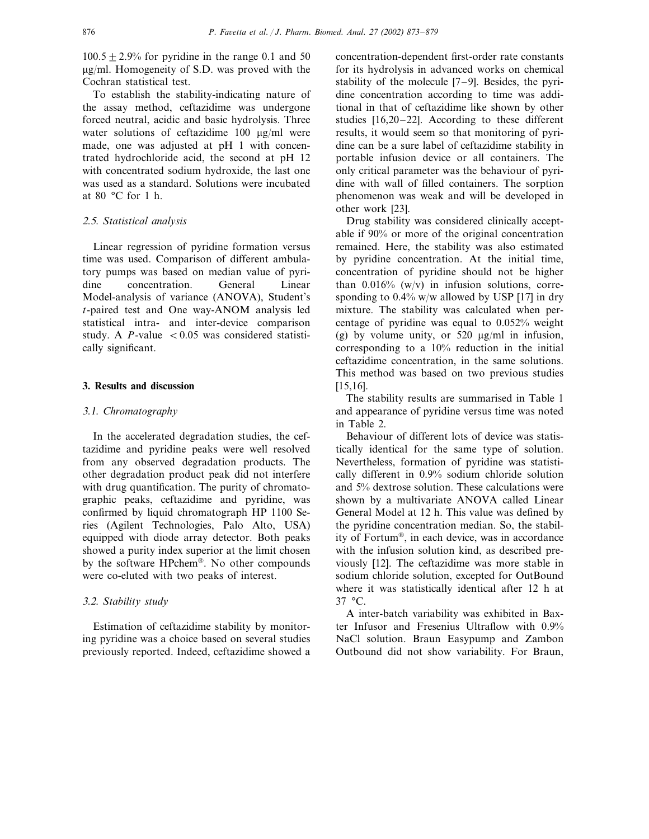$100.5 \pm 2.9\%$  for pyridine in the range 0.1 and 50 ug/ml. Homogeneity of S.D. was proved with the Cochran statistical test.

To establish the stability-indicating nature of the assay method, ceftazidime was undergone forced neutral, acidic and basic hydrolysis. Three water solutions of ceftazidime 100  $\mu$ g/ml were made, one was adjusted at pH 1 with concentrated hydrochloride acid, the second at pH 12 with concentrated sodium hydroxide, the last one was used as a standard. Solutions were incubated at 80 °C for 1 h.

# <sup>2</sup>.5. *Statistical analysis*

Linear regression of pyridine formation versus time was used. Comparison of different ambulatory pumps was based on median value of pyridine concentration. General Linear Model-analysis of variance (ANOVA), Student's *t*-paired test and One way-ANOM analysis led statistical intra- and inter-device comparison study. A *P*-value  $\langle 0.05 \rangle$  was considered statistically significant.

# **3. Results and discussion**

# 3.1. *Chromatography*

In the accelerated degradation studies, the ceftazidime and pyridine peaks were well resolved from any observed degradation products. The other degradation product peak did not interfere with drug quantification. The purity of chromatographic peaks, ceftazidime and pyridine, was confirmed by liquid chromatograph HP 1100 Series (Agilent Technologies, Palo Alto, USA) equipped with diode array detector. Both peaks showed a purity index superior at the limit chosen by the software HPchem®. No other compounds were co-eluted with two peaks of interest.

# 3.2. *Stability study*

Estimation of ceftazidime stability by monitoring pyridine was a choice based on several studies previously reported. Indeed, ceftazidime showed a

concentration-dependent first-order rate constants for its hydrolysis in advanced works on chemical stability of the molecule [7–9]. Besides, the pyridine concentration according to time was additional in that of ceftazidime like shown by other studies [16,20–22]. According to these different results, it would seem so that monitoring of pyridine can be a sure label of ceftazidime stability in portable infusion device or all containers. The only critical parameter was the behaviour of pyridine with wall of filled containers. The sorption phenomenon was weak and will be developed in other work [23].

Drug stability was considered clinically acceptable if 90% or more of the original concentration remained. Here, the stability was also estimated by pyridine concentration. At the initial time, concentration of pyridine should not be higher than  $0.016\%$  (w/v) in infusion solutions, corresponding to  $0.4\%$  w/w allowed by USP [17] in dry mixture. The stability was calculated when percentage of pyridine was equal to 0.052% weight (g) by volume unity, or 520  $\mu$ g/ml in infusion, corresponding to a 10% reduction in the initial ceftazidime concentration, in the same solutions. This method was based on two previous studies [15,16].

The stability results are summarised in Table 1 and appearance of pyridine versus time was noted in Table 2.

Behaviour of different lots of device was statistically identical for the same type of solution. Nevertheless, formation of pyridine was statistically different in 0.9% sodium chloride solution and 5% dextrose solution. These calculations were shown by a multivariate ANOVA called Linear General Model at 12 h. This value was defined by the pyridine concentration median. So, the stability of Fortum®, in each device, was in accordance with the infusion solution kind, as described previously [12]. The ceftazidime was more stable in sodium chloride solution, excepted for OutBound where it was statistically identical after 12 h at 37 °C.

A inter-batch variability was exhibited in Baxter Infusor and Fresenius Ultraflow with 0.9% NaCl solution. Braun Easypump and Zambon Outbound did not show variability. For Braun,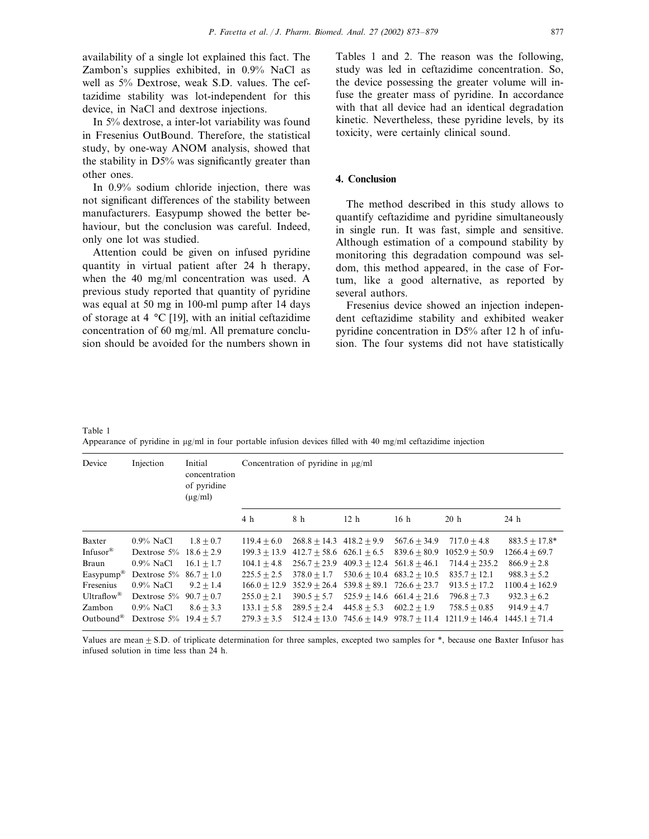availability of a single lot explained this fact. The Zambon's supplies exhibited, in 0.9% NaCl as well as 5% Dextrose, weak S.D. values. The ceftazidime stability was lot-independent for this device, in NaCl and dextrose injections.

In 5% dextrose, a inter-lot variability was found in Fresenius OutBound. Therefore, the statistical study, by one-way ANOM analysis, showed that the stability in D5% was significantly greater than other ones.

In 0.9% sodium chloride injection, there was not significant differences of the stability between manufacturers. Easypump showed the better behaviour, but the conclusion was careful. Indeed, only one lot was studied.

Attention could be given on infused pyridine quantity in virtual patient after 24 h therapy, when the 40 mg/ml concentration was used. A previous study reported that quantity of pyridine was equal at 50 mg in 100-ml pump after 14 days of storage at 4 °C [19], with an initial ceftazidime concentration of 60 mg/ml. All premature conclusion should be avoided for the numbers shown in

Tables 1 and 2. The reason was the following, study was led in ceftazidime concentration. So, the device possessing the greater volume will infuse the greater mass of pyridine. In accordance with that all device had an identical degradation kinetic. Nevertheless, these pyridine levels, by its toxicity, were certainly clinical sound.

# **4. Conclusion**

The method described in this study allows to quantify ceftazidime and pyridine simultaneously in single run. It was fast, simple and sensitive. Although estimation of a compound stability by monitoring this degradation compound was seldom, this method appeared, in the case of Fortum, like a good alternative, as reported by several authors.

Fresenius device showed an injection independent ceftazidime stability and exhibited weaker pyridine concentration in D5% after 12 h of infusion. The four systems did not have statistically

Table 1 Appearance of pyridine in  $\mu$ g/ml in four portable infusion devices filled with 40 mg/ml ceftazidime injection

| Device                 | Injection                 | Initial<br>concentration<br>of pyridine<br>$(\mu$ g/ml) |                | Concentration of pyridine in $\mu$ g/ml |                               |                               |                   |                  |
|------------------------|---------------------------|---------------------------------------------------------|----------------|-----------------------------------------|-------------------------------|-------------------------------|-------------------|------------------|
|                        |                           |                                                         | 4 h            | 8 h                                     | 12 <sub>h</sub>               | 16 <sub>h</sub>               | 20h               | 24 h             |
| Baxter                 | $0.9\%$ NaCl              | $1.8 + 0.7$                                             | $119.4 + 6.0$  | $268.8 + 14.3$ $418.2 + 9.9$            |                               | $567.6 + 34.9$                | $717.0 + 4.8$     | $883.5 + 17.8*$  |
| Infusor <sup>®</sup>   | Dextrose $5\%$ 18.6 + 2.9 |                                                         | $199.3 + 13.9$ | $412.7 + 58.6$ 626.1 + 6.5              |                               | $839.6 + 80.9$                | $1052.9 \pm 50.9$ | $1266.4 + 69.7$  |
| Braun                  | $0.9\%$ NaCl              | $16.1 + 1.7$                                            | $104.1 + 4.8$  | $256.7 + 23.9$                          | $409.3 + 12.4$ $561.8 + 46.1$ |                               | $714.4 + 235.2$   | $866.9 + 2.8$    |
| $Easypump^{\circledR}$ | Dextrose $5\%$ 86.7 + 1.0 |                                                         | $225.5 + 2.5$  | $378.0 + 1.7$                           |                               | $530.6 + 10.4$ $683.2 + 10.5$ | $835.7 + 12.1$    | $988.3 + 5.2$    |
| Fresenius              | $0.9\%$ NaCl              | $9.2 + 1.4$                                             | $166.0 + 12.9$ | $352.9 + 26.4$                          | $539.8 + 89.1$ $726.6 + 23.7$ |                               | $913.5 + 17.2$    | $1100.4 + 162.9$ |
| Ultraflow <sup>®</sup> | Dextrose $5\%$ 90.7 + 0.7 |                                                         | $255.0 + 2.1$  | $390.5 + 5.7$                           | $525.9 + 14.6$ 661.4 + 21.6   |                               | $796.8 + 7.3$     | $932.3 + 6.2$    |
| Zambon                 | $0.9\%$ NaCl              | $8.6 + 3.3$                                             | $133.1 + 5.8$  | $289.5 + 2.4$                           | $445.8 + 5.3$                 | $602.2 + 1.9$                 | $758.5 + 0.85$    | $914.9 + 4.7$    |
| Outbound <sup>®</sup>  | Dextrose $5\%$ 19.4 + 5.7 |                                                         | $279.3 + 3.5$  | $512.4 + 13.0$                          |                               | $745.6 + 14.9$ $978.7 + 11.4$ | $1211.9 + 146.4$  | $1445.1 + 71.4$  |

Values are mean  $\pm$  S.D. of triplicate determination for three samples, excepted two samples for  $*$ , because one Baxter Infusor has infused solution in time less than 24 h.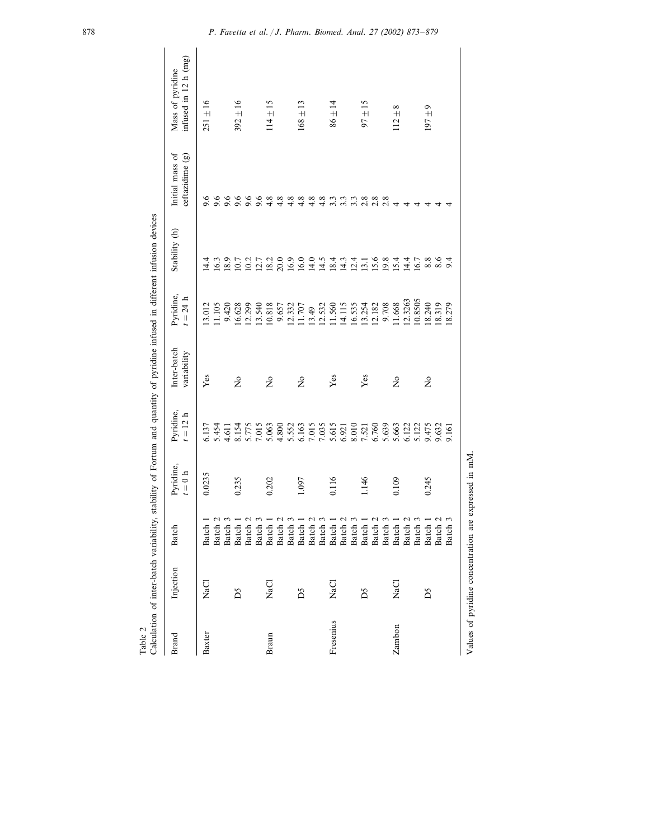| Table 2       |           |                            |                      |                                                                                            |                            |                                                                                                            | Calculation of inter-batch variability, stability of Fortum and quantity of pyridine infused in different infusion devices |                                      |                                          |
|---------------|-----------|----------------------------|----------------------|--------------------------------------------------------------------------------------------|----------------------------|------------------------------------------------------------------------------------------------------------|----------------------------------------------------------------------------------------------------------------------------|--------------------------------------|------------------------------------------|
| Brand         | Injection | <b>Batch</b>               | Pyridine,<br>$t=0$ h | Pyridine,<br>$= 12 h$                                                                      | Inter-batch<br>variability | Pyridine,<br>$t = 24 h$                                                                                    | Stability (h)                                                                                                              | Initial mass of<br>ceftazidime (g)   | infused in 12 h (mg)<br>Mass of pyridine |
| <b>Baxter</b> | NaCl      | Batch                      | 0.0235               | 6.137                                                                                      | Yes                        | 13.012                                                                                                     | $\frac{4}{4}$                                                                                                              | 9.6                                  | $251 \pm 16$                             |
|               |           | $\sim$<br><b>Batch</b>     |                      | 5.454                                                                                      |                            | 11.105                                                                                                     | 16.3                                                                                                                       |                                      |                                          |
|               |           | $\sim$<br><b>Batch</b>     |                      | 4.611                                                                                      |                            | 9.420                                                                                                      | $\frac{18.9}{10.7}$                                                                                                        | s s s s                              |                                          |
|               | Δ5        | <b>Batch</b>               | 0.235                | 8.154<br>5.775<br>5.015                                                                    | $\frac{1}{2}$              | 16.628                                                                                                     |                                                                                                                            |                                      | $392 \pm 16$                             |
|               |           | $\sim$<br>Batch            |                      |                                                                                            |                            |                                                                                                            |                                                                                                                            | 9.6                                  |                                          |
|               |           | $\sim$<br>Batch            |                      |                                                                                            |                            |                                                                                                            |                                                                                                                            |                                      |                                          |
| Braun         | NaCl      | Batch                      | 0.202                |                                                                                            | $\frac{1}{2}$              | 13.540<br>10.818                                                                                           | $\frac{10.2}{12.7}$<br>$\frac{12.7}{18.2}$                                                                                 | $4.\overline{8}$<br>$4.\overline{8}$ | $114 \pm 15$                             |
|               |           | $\sim$<br>Batch            |                      |                                                                                            |                            | 9.657                                                                                                      |                                                                                                                            |                                      |                                          |
|               |           | <b>Batch</b>               |                      | 4.800<br>5.552                                                                             |                            |                                                                                                            |                                                                                                                            | 4.8                                  |                                          |
|               | Δ5        | Batch                      | 1.097                | 6.163                                                                                      | $\mathsf{S}^{\mathsf{o}}$  | $\begin{array}{l} 12.332 \\ 11.707 \\ 13.49 \\ 12.532 \\ 11.560 \\ 14.115 \\ 16.535 \\ 13.254 \end{array}$ | $16.9$<br>$16.0$<br>$14.3$<br>$18.4$                                                                                       | 4.8                                  | $168\pm13$                               |
|               |           | Batch                      |                      |                                                                                            |                            |                                                                                                            |                                                                                                                            | 4.8                                  |                                          |
|               |           | Batch                      |                      |                                                                                            |                            |                                                                                                            |                                                                                                                            | 4.8                                  |                                          |
| Fresenius     | NaCl      | <b>Batch</b>               | 0.116                |                                                                                            | Yes                        |                                                                                                            |                                                                                                                            | 3.3                                  | $86 \pm 14$                              |
|               |           | Batch                      |                      | $\begin{array}{l} 7.015 \\ 7.035 \\ 5.615 \\ 6.921 \\ 8.010 \\ 7.521 \\ 6.760 \end{array}$ |                            |                                                                                                            |                                                                                                                            | 3.3                                  |                                          |
|               |           | Batch                      |                      |                                                                                            |                            |                                                                                                            |                                                                                                                            | 3.3                                  |                                          |
|               | Δ5        | Batch                      | 1.146                |                                                                                            | Yes                        |                                                                                                            |                                                                                                                            | 2.8                                  | $97\pm15$                                |
|               |           | $\sim$<br><b>Batch</b>     |                      |                                                                                            |                            | 12.182<br>9.708                                                                                            | $111108$<br>$11108$                                                                                                        | 2.8                                  |                                          |
|               |           | $\sim$<br>Batch            |                      | 5.639                                                                                      |                            |                                                                                                            |                                                                                                                            | 2.8                                  |                                          |
| Zambon        | NaCl      | <b>Batch</b>               | 0.109                | 5.663<br>6.122                                                                             | $\mathsf{S}^{\mathsf{o}}$  | 11.668                                                                                                     | 15.4                                                                                                                       | ᆉ                                    | ${}^{\circ}$<br>$112 \pm 1$              |
|               |           | $\sim$<br><b>Batch</b>     |                      |                                                                                            |                            | 12.3263                                                                                                    | 14.4                                                                                                                       | ᆉ                                    |                                          |
|               |           | $\epsilon$<br><b>Batch</b> |                      | 5.122<br>9.475                                                                             |                            | 10.8505                                                                                                    | 16.7                                                                                                                       |                                      |                                          |
|               | Δ5        | <b>Batch</b>               | 0.245                |                                                                                            | $\mathsf{S}^{\mathsf{o}}$  | 18.240                                                                                                     | $8.8\,$                                                                                                                    |                                      | $197\pm9$                                |
|               |           | $\sim$<br>Batch            |                      | 9.632                                                                                      |                            | 18.319                                                                                                     | 8.6                                                                                                                        |                                      |                                          |
|               |           | Batch                      |                      | 9.161                                                                                      |                            | 18.279                                                                                                     | 9.4                                                                                                                        |                                      |                                          |

Values of pyridine concentration are expressed in mM. Values of pyridine concentration are expressed in mM.